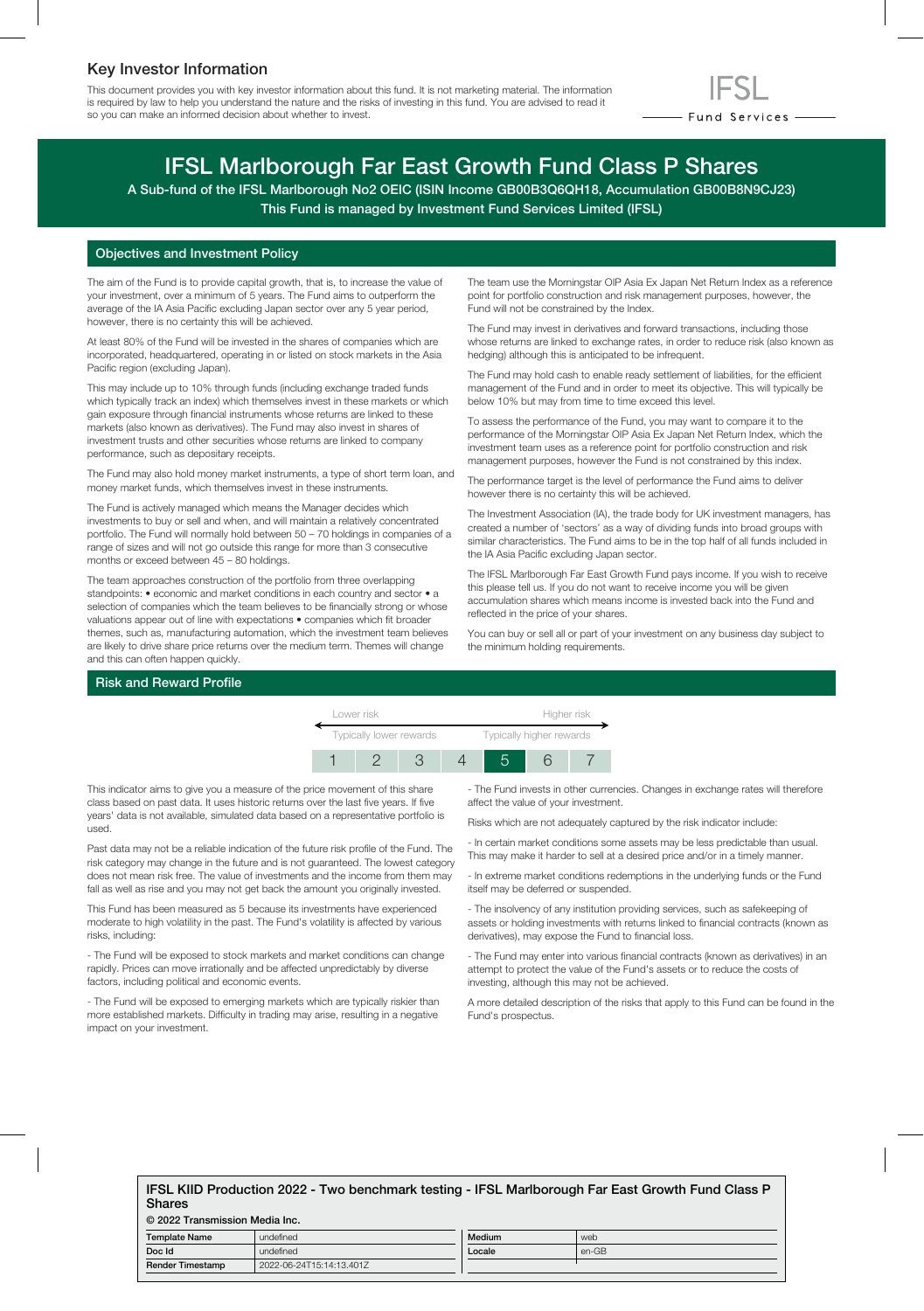# Key Investor Information

This document provides you with key investor information about this fund. It is not marketing material. The information is required by law to help you understand the nature and the risks of investing in this fund. You are advised to read it so you can make an informed decision about whether to invest.



# IFSL Marlborough Far East Growth Fund Class P Shares

A Sub-fund of the IFSL Marlborough No2 OEIC (ISIN Income GB00B3Q6QH18, Accumulation GB00B8N9CJ23) This Fund is managed by Investment Fund Services Limited (IFSL)

# Objectives and Investment Policy

The aim of the Fund is to provide capital growth, that is, to increase the value of your investment, over a minimum of 5 years. The Fund aims to outperform the average of the IA Asia Pacific excluding Japan sector over any 5 year period, however, there is no certainty this will be achieved.

At least 80% of the Fund will be invested in the shares of companies which are incorporated, headquartered, operating in or listed on stock markets in the Asia Pacific region (excluding Japan).

This may include up to 10% through funds (including exchange traded funds which typically track an index) which themselves invest in these markets or which gain exposure through financial instruments whose returns are linked to these markets (also known as derivatives). The Fund may also invest in shares of investment trusts and other securities whose returns are linked to company performance, such as depositary receipts.

The Fund may also hold money market instruments, a type of short term loan, and money market funds, which themselves invest in these instruments.

The Fund is actively managed which means the Manager decides which investments to buy or sell and when, and will maintain a relatively concentrated portfolio. The Fund will normally hold between 50 – 70 holdings in companies of a range of sizes and will not go outside this range for more than 3 consecutive months or exceed between 45 – 80 holdings.

The team approaches construction of the portfolio from three overlapping standpoints: • economic and market conditions in each country and sector • a selection of companies which the team believes to be financially strong or whose valuations appear out of line with expectations • companies which fit broader themes, such as, manufacturing automation, which the investment team believes are likely to drive share price returns over the medium term. Themes will change and this can often happen quickly.

The team use the Morningstar OIP Asia Ex Japan Net Return Index as a reference point for portfolio construction and risk management purposes, however, the Fund will not be constrained by the Index.

The Fund may invest in derivatives and forward transactions, including those whose returns are linked to exchange rates, in order to reduce risk (also known as hedging) although this is anticipated to be infrequent.

The Fund may hold cash to enable ready settlement of liabilities, for the efficient management of the Fund and in order to meet its objective. This will typically be below 10% but may from time to time exceed this level.

To assess the performance of the Fund, you may want to compare it to the performance of the Morningstar OIP Asia Ex Japan Net Return Index, which the investment team uses as a reference point for portfolio construction and risk management purposes, however the Fund is not constrained by this index.

The performance target is the level of performance the Fund aims to deliver however there is no certainty this will be achieved.

The Investment Association (IA), the trade body for UK investment managers, has created a number of 'sectors' as a way of dividing funds into broad groups with similar characteristics. The Fund aims to be in the top half of all funds included in the IA Asia Pacific excluding Japan sector.

The IFSL Marlborough Far East Growth Fund pays income. If you wish to receive this please tell us. If you do not want to receive income you will be given accumulation shares which means income is invested back into the Fund and reflected in the price of your shares.

You can buy or sell all or part of your investment on any business day subject to the minimum holding requirements.

### Risk and Reward Profile



This indicator aims to give you a measure of the price movement of this share class based on past data. It uses historic returns over the last five years. If five years' data is not available, simulated data based on a representative portfolio is used.

Past data may not be a reliable indication of the future risk profile of the Fund. The risk category may change in the future and is not guaranteed. The lowest category does not mean risk free. The value of investments and the income from them may fall as well as rise and you may not get back the amount you originally invested.

This Fund has been measured as 5 because its investments have experienced moderate to high volatility in the past. The Fund's volatility is affected by various risks, including:

- The Fund will be exposed to stock markets and market conditions can change rapidly. Prices can move irrationally and be affected unpredictably by diverse factors, including political and economic events.

- The Fund will be exposed to emerging markets which are typically riskier than more established markets. Difficulty in trading may arise, resulting in a negative impact on your investment.

- The Fund invests in other currencies. Changes in exchange rates will therefore affect the value of your investment.

Risks which are not adequately captured by the risk indicator include:

- In certain market conditions some assets may be less predictable than usual. This may make it harder to sell at a desired price and/or in a timely manner.

- In extreme market conditions redemptions in the underlying funds or the Fund itself may be deferred or suspended.

- The insolvency of any institution providing services, such as safekeeping of assets or holding investments with returns linked to financial contracts (known as derivatives), may expose the Fund to financial loss.

- The Fund may enter into various financial contracts (known as derivatives) in an attempt to protect the value of the Fund's assets or to reduce the costs of investing, although this may not be achieved.

A more detailed description of the risks that apply to this Fund can be found in the Fund's prospectus.